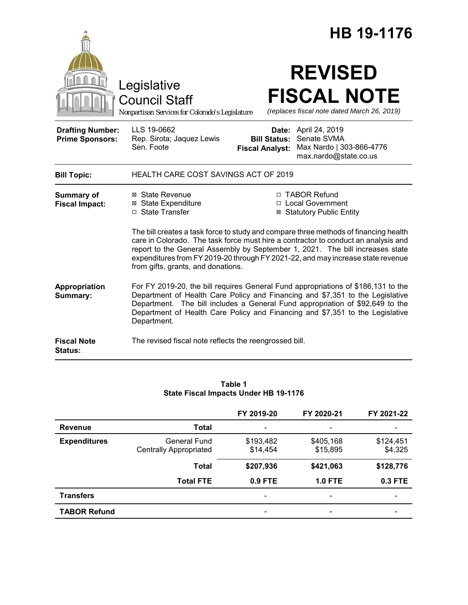|                                                   |                                                                                                                                                                                                                                                                                                                                                                                                                                                           |                              | HB 19-1176                                                                          |
|---------------------------------------------------|-----------------------------------------------------------------------------------------------------------------------------------------------------------------------------------------------------------------------------------------------------------------------------------------------------------------------------------------------------------------------------------------------------------------------------------------------------------|------------------------------|-------------------------------------------------------------------------------------|
|                                                   | Legislative<br><b>Council Staff</b><br>Nonpartisan Services for Colorado's Legislature                                                                                                                                                                                                                                                                                                                                                                    |                              | <b>REVISED</b><br><b>FISCAL NOTE</b><br>(replaces fiscal note dated March 26, 2019) |
| <b>Drafting Number:</b><br><b>Prime Sponsors:</b> | LLS 19-0662<br>Rep. Sirota; Jaquez Lewis<br>Sen. Foote<br><b>Fiscal Analyst:</b>                                                                                                                                                                                                                                                                                                                                                                          | Date:<br><b>Bill Status:</b> | April 24, 2019<br>Senate SVMA<br>Max Nardo   303-866-4776<br>max.nardo@state.co.us  |
| <b>Bill Topic:</b>                                | HEALTH CARE COST SAVINGS ACT OF 2019                                                                                                                                                                                                                                                                                                                                                                                                                      |                              |                                                                                     |
| <b>Summary of</b><br><b>Fiscal Impact:</b>        | ⊠ State Revenue<br><b>⊠ State Expenditure</b><br>□ State Transfer<br>The bill creates a task force to study and compare three methods of financing health<br>care in Colorado. The task force must hire a contractor to conduct an analysis and<br>report to the General Assembly by September 1, 2021. The bill increases state<br>expenditures from FY 2019-20 through FY 2021-22, and may increase state revenue<br>from gifts, grants, and donations. |                              | □ TABOR Refund<br>□ Local Government<br><b>⊠ Statutory Public Entity</b>            |
| Appropriation<br>Summary:                         | For FY 2019-20, the bill requires General Fund appropriations of \$186,131 to the<br>Department of Health Care Policy and Financing and \$7,351 to the Legislative<br>Department. The bill includes a General Fund appropriation of \$92,649 to the<br>Department of Health Care Policy and Financing and \$7,351 to the Legislative<br>Department.                                                                                                       |                              |                                                                                     |
| <b>Fiscal Note</b><br><b>Status:</b>              | The revised fiscal note reflects the reengrossed bill.                                                                                                                                                                                                                                                                                                                                                                                                    |                              |                                                                                     |

#### **Table 1 State Fiscal Impacts Under HB 19-1176**

|                     |                               | FY 2019-20               | FY 2020-21               | FY 2021-22               |
|---------------------|-------------------------------|--------------------------|--------------------------|--------------------------|
| <b>Revenue</b>      | <b>Total</b>                  |                          |                          |                          |
| <b>Expenditures</b> | <b>General Fund</b>           | \$193,482                | \$405,168                | \$124,451                |
|                     | <b>Centrally Appropriated</b> | \$14,454                 | \$15,895                 | \$4,325                  |
|                     | <b>Total</b>                  | \$207,936                | \$421,063                | \$128,776                |
|                     | <b>Total FTE</b>              | 0.9 FTE                  | <b>1.0 FTE</b>           | 0.3 FTE                  |
| <b>Transfers</b>    |                               | $\overline{\phantom{0}}$ | $\overline{\phantom{a}}$ | $\overline{\phantom{0}}$ |
| <b>TABOR Refund</b> |                               |                          |                          |                          |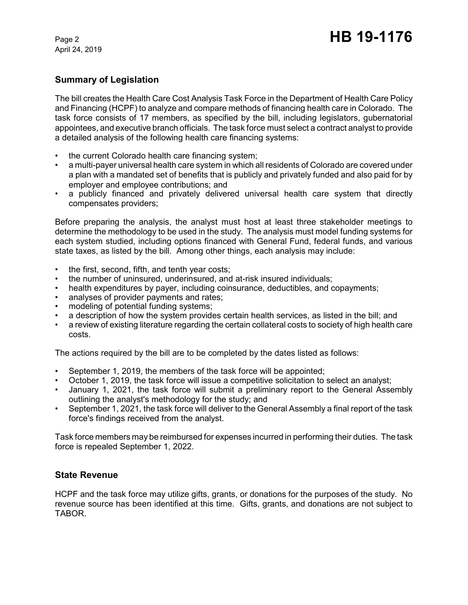April 24, 2019

# **Summary of Legislation**

The bill creates the Health Care Cost Analysis Task Force in the Department of Health Care Policy and Financing (HCPF) to analyze and compare methods of financing health care in Colorado. The task force consists of 17 members, as specified by the bill, including legislators, gubernatorial appointees, and executive branch officials. The task force must select a contract analyst to provide a detailed analysis of the following health care financing systems:

- the current Colorado health care financing system;
- a multi-payer universal health care system in which all residents of Colorado are covered under a plan with a mandated set of benefits that is publicly and privately funded and also paid for by employer and employee contributions; and
- a publicly financed and privately delivered universal health care system that directly compensates providers;

Before preparing the analysis, the analyst must host at least three stakeholder meetings to determine the methodology to be used in the study. The analysis must model funding systems for each system studied, including options financed with General Fund, federal funds, and various state taxes, as listed by the bill. Among other things, each analysis may include:

- the first, second, fifth, and tenth year costs;
- the number of uninsured, underinsured, and at-risk insured individuals;
- health expenditures by payer, including coinsurance, deductibles, and copayments;
- analyses of provider payments and rates;
- modeling of potential funding systems;
- a description of how the system provides certain health services, as listed in the bill; and
- a review of existing literature regarding the certain collateral costs to society of high health care costs.

The actions required by the bill are to be completed by the dates listed as follows:

- September 1, 2019, the members of the task force will be appointed;
- October 1, 2019, the task force will issue a competitive solicitation to select an analyst;
- January 1, 2021, the task force will submit a preliminary report to the General Assembly outlining the analyst's methodology for the study; and
- September 1, 2021, the task force will deliver to the General Assembly a final report of the task force's findings received from the analyst.

Task force members may be reimbursed for expenses incurred in performing their duties. The task force is repealed September 1, 2022.

### **State Revenue**

HCPF and the task force may utilize gifts, grants, or donations for the purposes of the study. No revenue source has been identified at this time. Gifts, grants, and donations are not subject to TABOR.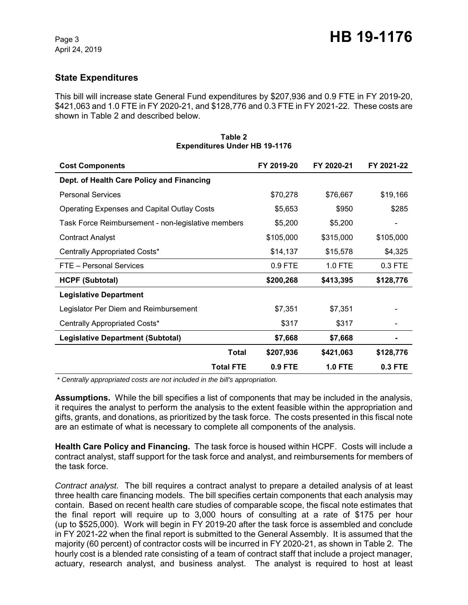# **State Expenditures**

This bill will increase state General Fund expenditures by \$207,936 and 0.9 FTE in FY 2019-20, \$421,063 and 1.0 FTE in FY 2020-21, and \$128,776 and 0.3 FTE in FY 2021-22. These costs are shown in Table 2 and described below.

| <b>Cost Components</b>                             | FY 2019-20 | FY 2020-21 | FY 2021-22 |
|----------------------------------------------------|------------|------------|------------|
| Dept. of Health Care Policy and Financing          |            |            |            |
| <b>Personal Services</b>                           | \$70,278   | \$76,667   | \$19,166   |
| Operating Expenses and Capital Outlay Costs        | \$5,653    | \$950      | \$285      |
| Task Force Reimbursement - non-legislative members | \$5,200    | \$5,200    |            |
| <b>Contract Analyst</b>                            | \$105,000  | \$315,000  | \$105,000  |
| Centrally Appropriated Costs*                      | \$14,137   | \$15,578   | \$4,325    |
| FTE - Personal Services                            | $0.9$ FTE  | $1.0$ FTE  | $0.3$ FTE  |
| <b>HCPF (Subtotal)</b>                             | \$200,268  | \$413,395  | \$128,776  |
| <b>Legislative Department</b>                      |            |            |            |
| Legislator Per Diem and Reimbursement              | \$7,351    | \$7,351    |            |
| Centrally Appropriated Costs*                      | \$317      | \$317      |            |
| Legislative Department (Subtotal)                  | \$7,668    | \$7,668    |            |
| Total                                              | \$207,936  | \$421,063  | \$128,776  |
| <b>Total FTE</b>                                   | $0.9$ FTE  | $1.0$ FTE  | 0.3 FTE    |

#### **Table 2 Expenditures Under HB 19-1176**

 *\* Centrally appropriated costs are not included in the bill's appropriation.*

**Assumptions.** While the bill specifies a list of components that may be included in the analysis, it requires the analyst to perform the analysis to the extent feasible within the appropriation and gifts, grants, and donations, as prioritized by the task force. The costs presented in this fiscal note are an estimate of what is necessary to complete all components of the analysis.

**Health Care Policy and Financing.** The task force is housed within HCPF. Costs will include a contract analyst, staff support for the task force and analyst, and reimbursements for members of the task force.

*Contract analyst.* The bill requires a contract analyst to prepare a detailed analysis of at least three health care financing models. The bill specifies certain components that each analysis may contain. Based on recent health care studies of comparable scope, the fiscal note estimates that the final report will require up to 3,000 hours of consulting at a rate of \$175 per hour (up to \$525,000). Work will begin in FY 2019-20 after the task force is assembled and conclude in FY 2021-22 when the final report is submitted to the General Assembly. It is assumed that the majority (60 percent) of contractor costs will be incurred in FY 2020-21, as shown in Table 2. The hourly cost is a blended rate consisting of a team of contract staff that include a project manager, actuary, research analyst, and business analyst. The analyst is required to host at least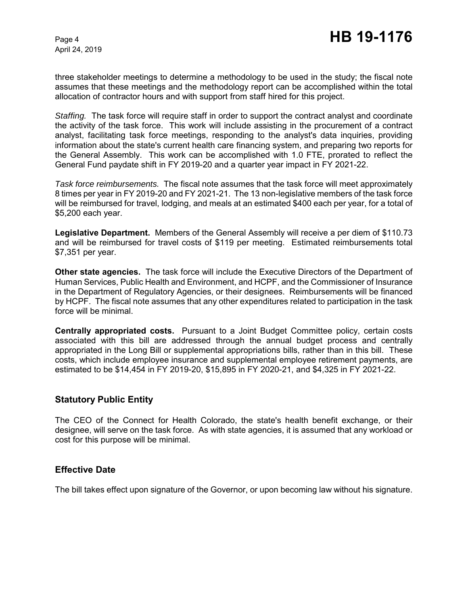three stakeholder meetings to determine a methodology to be used in the study; the fiscal note assumes that these meetings and the methodology report can be accomplished within the total allocation of contractor hours and with support from staff hired for this project.

*Staffing.* The task force will require staff in order to support the contract analyst and coordinate the activity of the task force. This work will include assisting in the procurement of a contract analyst, facilitating task force meetings, responding to the analyst's data inquiries, providing information about the state's current health care financing system, and preparing two reports for the General Assembly. This work can be accomplished with 1.0 FTE, prorated to reflect the General Fund paydate shift in FY 2019-20 and a quarter year impact in FY 2021-22.

*Task force reimbursements.* The fiscal note assumes that the task force will meet approximately 8 times per year in FY 2019-20 and FY 2021-21. The 13 non-legislative members of the task force will be reimbursed for travel, lodging, and meals at an estimated \$400 each per year, for a total of \$5,200 each year.

**Legislative Department.** Members of the General Assembly will receive a per diem of \$110.73 and will be reimbursed for travel costs of \$119 per meeting. Estimated reimbursements total \$7,351 per year.

**Other state agencies.** The task force will include the Executive Directors of the Department of Human Services, Public Health and Environment, and HCPF, and the Commissioner of Insurance in the Department of Regulatory Agencies, or their designees. Reimbursements will be financed by HCPF. The fiscal note assumes that any other expenditures related to participation in the task force will be minimal.

**Centrally appropriated costs.** Pursuant to a Joint Budget Committee policy, certain costs associated with this bill are addressed through the annual budget process and centrally appropriated in the Long Bill or supplemental appropriations bills, rather than in this bill. These costs, which include employee insurance and supplemental employee retirement payments, are estimated to be \$14,454 in FY 2019-20, \$15,895 in FY 2020-21, and \$4,325 in FY 2021-22.

### **Statutory Public Entity**

The CEO of the Connect for Health Colorado, the state's health benefit exchange, or their designee, will serve on the task force. As with state agencies, it is assumed that any workload or cost for this purpose will be minimal.

### **Effective Date**

The bill takes effect upon signature of the Governor, or upon becoming law without his signature.